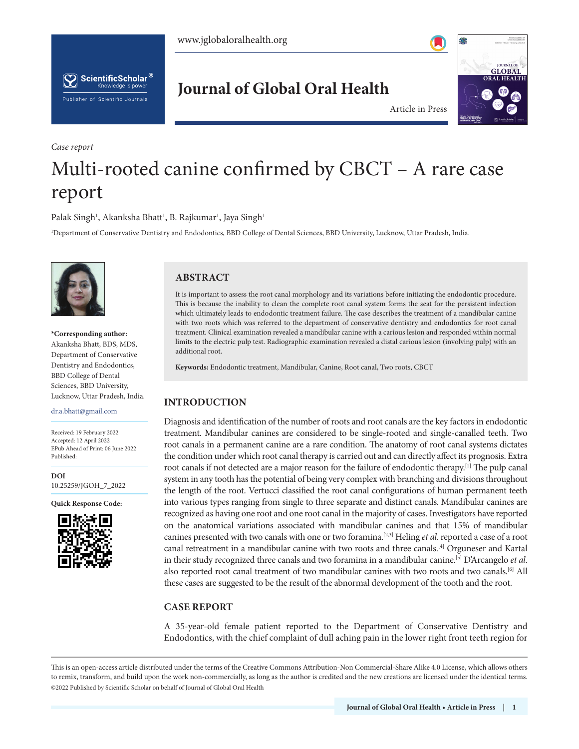



**Journal of Global Oral Health**

*Case report* 



Article in Press

# Multi-rooted canine confirmed by CBCT – A rare case report

Palak Singh<sup>1</sup>, Akanksha Bhatt<sup>1</sup>, B. Rajkumar<sup>1</sup>, Jaya Singh<sup>1</sup>

1 Department of Conservative Dentistry and Endodontics, BBD College of Dental Sciences, BBD University, Lucknow, Uttar Pradesh, India.



**\*Corresponding author:** Akanksha Bhatt, BDS, MDS, Department of Conservative Dentistry and Endodontics, BBD College of Dental Sciences, BBD University, Lucknow, Uttar Pradesh, India.

#### dr.a.bhatt@gmail.com

Received: 19 February 2022 Accepted: 12 April 2022 EPub Ahead of Print: 06 June 2022 Published:

**DOI** [10.25259/JGOH\\_7\\_2022](https://dx.doi.org/10.25259/JGOH_7_2022)

**Quick Response Code:**



## **ABSTRACT**

It is important to assess the root canal morphology and its variations before initiating the endodontic procedure. This is because the inability to clean the complete root canal system forms the seat for the persistent infection which ultimately leads to endodontic treatment failure. The case describes the treatment of a mandibular canine with two roots which was referred to the department of conservative dentistry and endodontics for root canal treatment. Clinical examination revealed a mandibular canine with a carious lesion and responded within normal limits to the electric pulp test. Radiographic examination revealed a distal carious lesion (involving pulp) with an additional root.

**Keywords:** Endodontic treatment, Mandibular, Canine, Root canal, Two roots, CBCT

## **INTRODUCTION**

Diagnosis and identification of the number of roots and root canals are the key factors in endodontic treatment. Mandibular canines are considered to be single-rooted and single-canalled teeth. Two root canals in a permanent canine are a rare condition. The anatomy of root canal systems dictates the condition under which root canal therapy is carried out and can directly affect its prognosis. Extra root canals if not detected are a major reason for the failure of endodontic therapy.[1] The pulp canal system in any tooth has the potential of being very complex with branching and divisions throughout the length of the root. Vertucci classified the root canal configurations of human permanent teeth into various types ranging from single to three separate and distinct canals. Mandibular canines are recognized as having one root and one root canal in the majority of cases. Investigators have reported on the anatomical variations associated with mandibular canines and that 15% of mandibular canines presented with two canals with one or two foramina.[2,3] Heling *et al*. reported a case of a root canal retreatment in a mandibular canine with two roots and three canals.<sup>[4]</sup> Orguneser and Kartal in their study recognized three canals and two foramina in a mandibular canine.[5] D'Arcangelo *et al*. also reported root canal treatment of two mandibular canines with two roots and two canals.<sup>[6]</sup> All these cases are suggested to be the result of the abnormal development of the tooth and the root.

## **CASE REPORT**

A 35-year-old female patient reported to the Department of Conservative Dentistry and Endodontics, with the chief complaint of dull aching pain in the lower right front teeth region for

This is an open-access article distributed under the terms of the Creative Commons Attribution-Non Commercial-Share Alike 4.0 License, which allows others to remix, transform, and build upon the work non-commercially, as long as the author is credited and the new creations are licensed under the identical terms. ©2022 Published by Scientific Scholar on behalf of Journal of Global Oral Health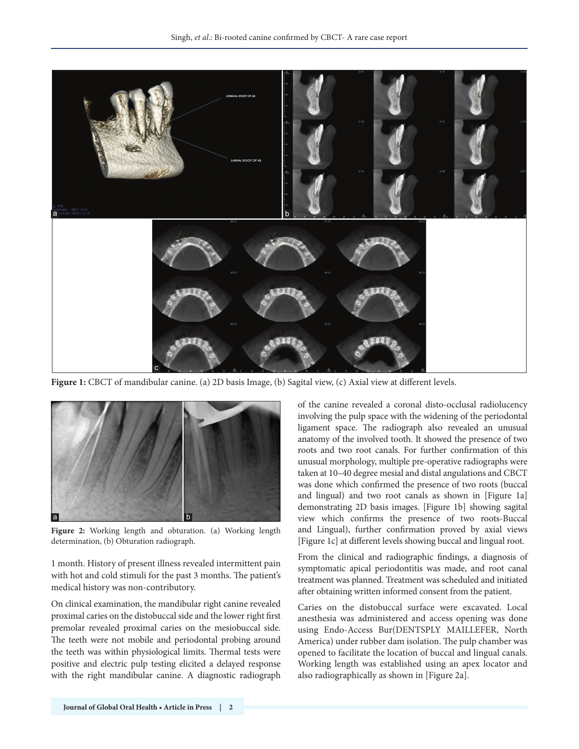

**Figure 1:** CBCT of mandibular canine. (a) 2D basis Image, (b) Sagital view, (c) Axial view at different levels.



**Figure 2:** Working length and obturation. (a) Working length determination, (b) Obturation radiograph.

1 month. History of present illness revealed intermittent pain with hot and cold stimuli for the past 3 months. The patient's medical history was non-contributory.

On clinical examination, the mandibular right canine revealed proximal caries on the distobuccal side and the lower right first premolar revealed proximal caries on the mesiobuccal side. The teeth were not mobile and periodontal probing around the teeth was within physiological limits. Thermal tests were positive and electric pulp testing elicited a delayed response with the right mandibular canine. A diagnostic radiograph

of the canine revealed a coronal disto-occlusal radiolucency involving the pulp space with the widening of the periodontal ligament space. The radiograph also revealed an unusual anatomy of the involved tooth. It showed the presence of two roots and two root canals. For further confirmation of this unusual morphology, multiple pre-operative radiographs were taken at 10–40 degree mesial and distal angulations and CBCT was done which confirmed the presence of two roots (buccal and lingual) and two root canals as shown in [Figure 1a] demonstrating 2D basis images. [Figure 1b] showing sagital view which confirms the presence of two roots-Buccal and Lingual), further confirmation proved by axial views [Figure 1c] at different levels showing buccal and lingual root.

From the clinical and radiographic findings, a diagnosis of symptomatic apical periodontitis was made, and root canal treatment was planned. Treatment was scheduled and initiated after obtaining written informed consent from the patient.

Caries on the distobuccal surface were excavated. Local anesthesia was administered and access opening was done using Endo-Access Bur(DENTSPLY MAILLEFER, North America) under rubber dam isolation. The pulp chamber was opened to facilitate the location of buccal and lingual canals. Working length was established using an apex locator and also radiographically as shown in [Figure 2a].